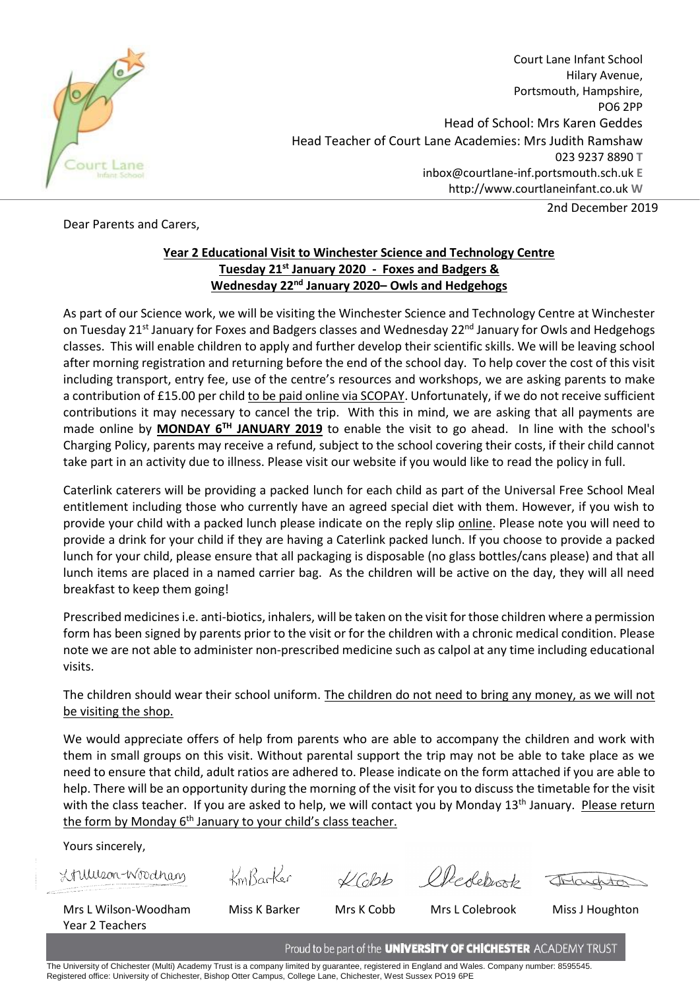

Court Lane Infant School Hilary Avenue, Portsmouth, Hampshire, PO6 2PP Head of School: Mrs Karen Geddes Head Teacher of Court Lane Academies: Mrs Judith Ramshaw 023 9237 8890 **T** inbox@courtlane-inf.portsmouth.sch.uk **E** http://www.courtlaneinfant.co.uk **W**

Dear Parents and Carers,

2nd December 2019

## **Year 2 Educational Visit to Winchester Science and Technology Centre Tuesday 21st January 2020 - Foxes and Badgers & Wednesday 22nd January 2020– Owls and Hedgehogs**

As part of our Science work, we will be visiting the Winchester Science and Technology Centre at Winchester on Tuesday 21<sup>st</sup> January for Foxes and Badgers classes and Wednesday 22<sup>nd</sup> January for Owls and Hedgehogs classes. This will enable children to apply and further develop their scientific skills. We will be leaving school after morning registration and returning before the end of the school day. To help cover the cost of this visit including transport, entry fee, use of the centre's resources and workshops, we are asking parents to make a contribution of £15.00 per child to be paid online via SCOPAY. Unfortunately, if we do not receive sufficient contributions it may necessary to cancel the trip. With this in mind, we are asking that all payments are made online by **MONDAY 6TH JANUARY 2019** to enable the visit to go ahead. In line with the school's Charging Policy, parents may receive a refund, subject to the school covering their costs, if their child cannot take part in an activity due to illness. Please visit our website if you would like to read the policy in full.

Caterlink caterers will be providing a packed lunch for each child as part of the Universal Free School Meal entitlement including those who currently have an agreed special diet with them. However, if you wish to provide your child with a packed lunch please indicate on the reply slip online. Please note you will need to provide a drink for your child if they are having a Caterlink packed lunch. If you choose to provide a packed lunch for your child, please ensure that all packaging is disposable (no glass bottles/cans please) and that all lunch items are placed in a named carrier bag. As the children will be active on the day, they will all need breakfast to keep them going!

Prescribed medicines i.e. anti-biotics, inhalers, will be taken on the visit for those children where a permission form has been signed by parents prior to the visit or for the children with a chronic medical condition. Please note we are not able to administer non-prescribed medicine such as calpol at any time including educational visits.

The children should wear their school uniform. The children do not need to bring any money, as we will not be visiting the shop.

We would appreciate offers of help from parents who are able to accompany the children and work with them in small groups on this visit. Without parental support the trip may not be able to take place as we need to ensure that child, adult ratios are adhered to. Please indicate on the form attached if you are able to help. There will be an opportunity during the morning of the visit for you to discuss the timetable for the visit with the class teacher. If you are asked to help, we will contact you by Monday 13<sup>th</sup> January. Please return the form by Monday  $6<sup>th</sup>$  January to your child's class teacher.

Yours sincerely,

X fullison-Woodham

KmBarker

KCASP electerists

Mrs L Wilson-Woodham Miss K Barker Mrs K Cobb Mrs L Colebrook Miss J Houghton Year 2 Teachers

Proud to be part of the **UNIVERSITY OF CHICHESTER** ACADEMY TRUST

The University of Chichester (Multi) Academy Trust is a company limited by guarantee, registered in England and Wales. Company number: 8595545. Registered office: University of Chichester, Bishop Otter Campus, College Lane, Chichester, West Sussex PO19 6PE